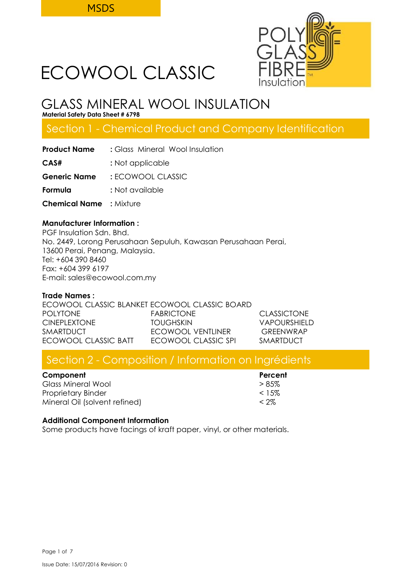

# GLASS MINERAL WOOL INSULATION

**Material Safety Data Sheet # 6798**

## Section 1 - Chemical Product and Company Identification

| <b>Product Name</b>            | : Glass Mineral Wool Insulation |  |  |
|--------------------------------|---------------------------------|--|--|
| CAS#                           | : Not applicable                |  |  |
| <b>Generic Name</b>            | : FCOWOOL CLASSIC               |  |  |
| Formula                        | : Not available                 |  |  |
| <b>Chemical Name</b> : Mixture |                                 |  |  |
|                                |                                 |  |  |

## **Manufacturer Information :**

PGF Insulation Sdn. Bhd. No. 2449, Lorong Perusahaan Sepuluh, Kawasan Perusahaan Perai, 13600 Perai, Penang, Malaysia. Tel: +604 390 8460 Fax: +604 399 6197 E-mail: sales@ecowool.com.my

## **Trade Names :**

ECOWOOL CLASSIC BLANKET ECOWOOL CLASSIC BOARD POLYTONE FABRICTONE CLASSICTONE CINEPLEXTONE TOUGHSKIN VAPOURSHIELD SMARTDUCT **ECOWOOL VENTLINER** GREENWRAP ECOWOOL CLASSIC BATT ECOWOOL CLASSIC SPI SMARTDUCT

## Section 2 - Composition / Information on Ingrédients

| Component |  |
|-----------|--|
|-----------|--|

Glass Mineral Wool  $> 85\%$ Proprietary Binder and the state of the state of  $\sim 15\%$ Mineral Oil (solvent refined) < 2%

**Percent** 

## **Additional Component Information**

Some products have facings of kraft paper, vinyl, or other materials.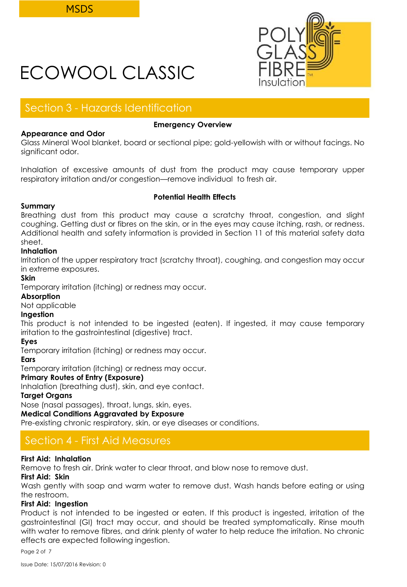

## Section 3 - Hazards Identification

## **Appearance and Odor**

## **Emergency Overview**

Glass Mineral Wool blanket, board or sectional pipe; gold-yellowish with or without facings. No significant odor.

Inhalation of excessive amounts of dust from the product may cause temporary upper respiratory irritation and/or congestion—remove individual to fresh air.

## **Summary**

## **Potential Health Effects**

Breathing dust from this product may cause a scratchy throat, congestion, and slight coughing. Getting dust or fibres on the skin, or in the eyes may cause itching, rash, or redness. Additional health and safety information is provided in Section 11 of this material safety data sheet.

## **Inhalation**

Irritation of the upper respiratory tract (scratchy throat), coughing, and congestion may occur in extreme exposures.

## **Skin**

Temporary irritation (itching) or redness may occur.

## **Absorption**

Not applicable

## **Ingestion**

This product is not intended to be ingested (eaten). If ingested, it may cause temporary irritation to the gastrointestinal (digestive) tract.

## **Eyes**

Temporary irritation (itching) or redness may occur.

## **Ears**

Temporary irritation (itching) or redness may occur.

## **Primary Routes of Entry (Exposure)**

Inhalation (breathing dust), skin, and eye contact.

## **Target Organs**

Nose (nasal passages), throat, lungs, skin, eyes.

## **Medical Conditions Aggravated by Exposure**

Pre-existing chronic respiratory, skin, or eye diseases or conditions.

## Section 4 - First Aid Measures

## **First Aid: Inhalation**

Remove to fresh air. Drink water to clear throat, and blow nose to remove dust.

## **First Aid: Skin**

Wash gently with soap and warm water to remove dust. Wash hands before eating or using the restroom.

## **First Aid: Ingestion**

Product is not intended to be ingested or eaten. If this product is ingested, irritation of the gastrointestinal (GI) tract may occur, and should be treated symptomatically. Rinse mouth with water to remove fibres, and drink plenty of water to help reduce the irritation. No chronic effects are expected following ingestion.

Page 2 of 7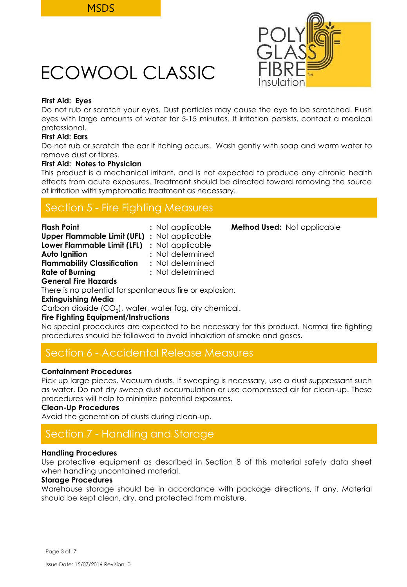

## **First Aid: Eyes**

Do not rub or scratch your eyes. Dust particles may cause the eye to be scratched. Flush eyes with large amounts of water for 5-15 minutes. If irritation persists, contact a medical professional.

## **First Aid: Ears**

Do not rub or scratch the ear if itching occurs. Wash gently with soap and warm water to remove dust or fibres.

## **First Aid: Notes to Physician**

This product is a mechanical irritant, and is not expected to produce any chronic health effects from acute exposures. Treatment should be directed toward removing the source of irritation with symptomatic treatment as necessary.

## Section 5 - Fire Fighting Measures

| <b>Flash Point</b>                 | : Not applicable |
|------------------------------------|------------------|
| <b>Upper Flammable Limit (UFL)</b> | : Not applicable |
| Lower Flammable Limit (LFL)        | : Not applicable |
| <b>Auto Ignition</b>               | : Not determined |
| <b>Flammability Classification</b> | : Not determined |
| <b>Rate of Burning</b>             | : Not determined |
| <b>General Fire Hazards</b>        |                  |

There is no potential for spontaneous fire or explosion.

## **Extinguishing Media**

Carbon dioxide (CO $_2$ ), water, water fog, dry chemical.

## **Fire Fighting Equipment/Instructions**

No special procedures are expected to be necessary for this product. Normal fire fighting procedures should be followed to avoid inhalation of smoke and gases.

## Section 6 - Accidental Release Measures

## **Containment Procedures**

Pick up large pieces. Vacuum dusts. If sweeping is necessary, use a dust suppressant such as water. Do not dry sweep dust accumulation or use compressed air for clean-up. These procedures will help to minimize potential exposures.

## **Clean-Up Procedures**

Avoid the generation of dusts during clean-up.

## Section 7 - Handling and Storage

## **Handling Procedures**

Use protective equipment as described in Section 8 of this material safety data sheet when handling uncontained material.

## **Storage Procedures**

Warehouse storage should be in accordance with package directions, if any. Material should be kept clean, dry, and protected from moisture.

**Method Used:** Not applicable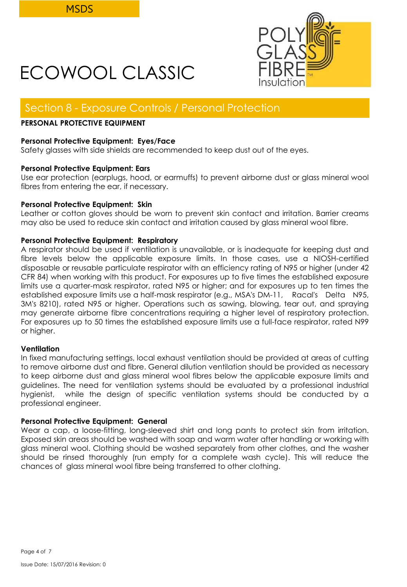

## Section 8 - Exposure Controls / Personal Protection

## **PERSONAL PROTECTIVE EQUIPMENT**

## **Personal Protective Equipment: Eyes/Face**

Safety glasses with side shields are recommended to keep dust out of the eyes.

## **Personal Protective Equipment: Ears**

Use ear protection (earplugs, hood, or earmuffs) to prevent airborne dust or glass mineral wool fibres from entering the ear, if necessary.

## **Personal Protective Equipment: Skin**

Leather or cotton gloves should be worn to prevent skin contact and irritation. Barrier creams may also be used to reduce skin contact and irritation caused by glass mineral wool fibre.

## **Personal Protective Equipment: Respiratory**

A respirator should be used if ventilation is unavailable, or is inadequate for keeping dust and fibre levels below the applicable exposure limits. In those cases, use a NIOSH-certified disposable or reusable particulate respirator with an efficiency rating of N95 or higher (under 42 CFR 84) when working with this product. For exposures up to five times the established exposure limits use a quarter-mask respirator, rated N95 or higher; and for exposures up to ten times the established exposure limits use a half-mask respirator (e.g., MSA's DM-11, Racal's Delta N95, 3M's 8210), rated N95 or higher. Operations such as sawing, blowing, tear out, and spraying may generate airborne fibre concentrations requiring a higher level of respiratory protection. For exposures up to 50 times the established exposure limits use a full-face respirator, rated N99 or higher.

## **Ventilation**

In fixed manufacturing settings, local exhaust ventilation should be provided at areas of cutting to remove airborne dust and fibre. General dilution ventilation should be provided as necessary to keep airborne dust and glass mineral wool fibres below the applicable exposure limits and guidelines. The need for ventilation systems should be evaluated by a professional industrial hygienist, while the design of specific ventilation systems should be conducted by a professional engineer.

## **Personal Protective Equipment: General**

Wear a cap, a loose-fitting, long-sleeved shirt and long pants to protect skin from irritation. Exposed skin areas should be washed with soap and warm water after handling or working with glass mineral wool. Clothing should be washed separately from other clothes, and the washer should be rinsed thoroughly (run empty for a complete wash cycle). This will reduce the chances of glass mineral wool fibre being transferred to other clothing.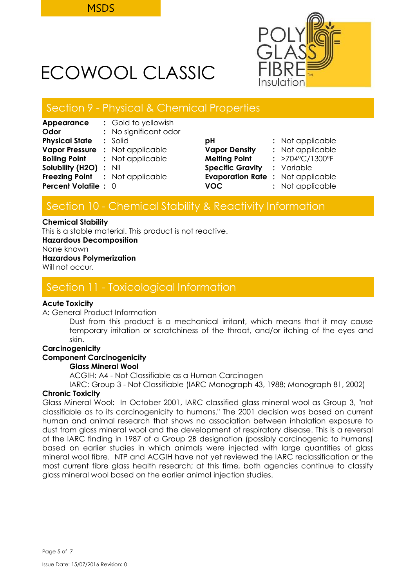

## Section 9 - Physical & Chemical Properties

| Appearance                    | : Gold to yellowish                    |                                         |                                 |
|-------------------------------|----------------------------------------|-----------------------------------------|---------------------------------|
| Odor                          | : No significant odor                  |                                         |                                 |
| <b>Physical State</b>         | $:$ Solid                              | рH                                      | : Not applicable                |
| <b>Vapor Pressure</b>         | : Not applicable                       | <b>Vapor Density</b>                    | : Not applicable                |
| Boiling Point                 | : Not applicable                       | <b>Melting Point</b>                    | : $>704^{\circ}C/1300^{\circ}F$ |
| <b>Solubility (H2O) : Nil</b> |                                        | <b>Specific Gravity</b>                 | : Variable                      |
|                               | <b>Freezing Point : Not applicable</b> | <b>Evaporation Rate: Not applicable</b> |                                 |
| <b>Percent Volatile : 0</b>   |                                        | <b>VOC</b>                              | : Not applicable                |
|                               |                                        |                                         |                                 |

| рH                      | : Not applicable |
|-------------------------|------------------|
| <b>Vapor Density</b>    | : Not applicable |
| <b>Melting Point</b>    | : >704°C/1300°F  |
| <b>Specific Gravity</b> | : Variable       |
| <b>Evaporation Rate</b> | : Not applicable |
| <b>VOC</b>              | : Not applicable |

## Section 10 - Chemical Stability & Reactivity Information

#### **Chemical Stability**

This is a stable material. This product is not reactive.

**Hazardous Decomposition**

None known

## **Hazardous Polymerization**

Will not occur.

## Section 11 - Toxicological Information

## **Acute Toxicity**

A: General Product Information

Dust from this product is a mechanical irritant, which means that it may cause temporary irritation or scratchiness of the throat, and/or itching of the eyes and skin.

## **Carcinogenicity**

## **Component Carcinogenicity**

## **Glass Mineral Wool**

ACGIH: A4 - Not Classifiable as a Human Carcinogen

IARC: Group 3 - Not Classifiable (IARC Monograph 43, 1988; Monograph 81, 2002)

## **Chronic Toxicity**

Glass Mineral Wool: In October 2001, IARC classified glass mineral wool as Group 3, "not classifiable as to its carcinogenicity to humans." The 2001 decision was based on current human and animal research that shows no association between inhalation exposure to dust from glass mineral wool and the development of respiratory disease. This is a reversal of the IARC finding in 1987 of a Group 2B designation (possibly carcinogenic to humans) based on earlier studies in which animals were injected with large quantities of glass mineral wool fibre. NTP and ACGIH have not yet reviewed the IARC reclassification or the most current fibre glass health research; at this time, both agencies continue to classify glass mineral wool based on the earlier animal injection studies.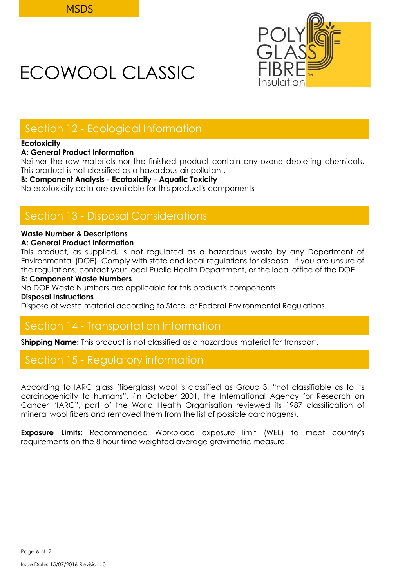

## Section 12 - Ecological Information

## **Ecotoxicity**

## **A: General Product Information**

Neither the raw materials nor the finished product contain any ozone depleting chemicals. This product is not classified as a hazardous air pollutant.

## **B: Component Analysis - Ecotoxicity - Aquatic Toxicity**

No ecotoxicity data are available for this product's components

## Section 13 - Disposal Considerations

## **Waste Number & Descriptions**

## **A: General Product Information**

This product, as supplied, is not regulated as a hazardous waste by any Department of Environmental (DOE). Comply with state and local regulations for disposal. If you are unsure of the regulations, contact your local Public Health Department, or the local office of the DOE.

## **B: Component Waste Numbers**

No DOE Waste Numbers are applicable for this product's components.

#### **Disposal Instructions**

Dispose of waste material according to State, or Federal Environmental Regulations.

## Section 14 - Transportation Information

**Shipping Name:** This product is not classified as a hazardous material for transport.

## Section 15 - Regulatory information

According to IARC glass (fiberglass) wool is classified as Group 3, "not classifiable as to its carcinogenicity to humans". (In October 2001, the International Agency for Research on Cancer "IARC", part of the World Health Organisation reviewed its 1987 classification of mineral wool fibers and removed them from the list of possible carcinogens).

**Exposure Limits:** Recommended Workplace exposure limit (WEL) to meet country's requirements on the 8 hour time weighted average gravimetric measure.